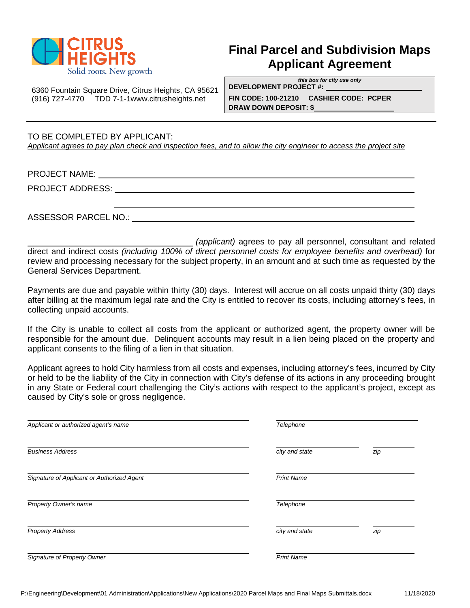

## **Final Parcel and Subdivision Maps Applicant Agreement**

*this box for city use only* **DEVELOPMENT PROJECT #:** 

6360 Fountain Square Drive, Citrus Heights, CA 95621 (916) 727-4770 TDD 7-1-[1www.citrusheights.net](http://www.citrusheights.net/) **FIN CODE: 100-21210 CASHIER CODE: PCPER**

**DRAW DOWN DEPOSIT: \$**

TO BE COMPLETED BY APPLICANT: *Applicant agrees to pay plan check and inspection fees, and to allow the city engineer to access the project site*

PROJECT NAME:

PROJECT ADDRESS: University of the contract of the contract of the contract of the contract of the contract of the contract of the contract of the contract of the contract of the contract of the contract of the contract of

ASSESSOR PARCEL NO.:

*(applicant)* agrees to pay all personnel, consultant and related direct and indirect costs *(including 100% of direct personnel costs for employee benefits and overhead)* for review and processing necessary for the subject property, in an amount and at such time as requested by the General Services Department.

Payments are due and payable within thirty (30) days. Interest will accrue on all costs unpaid thirty (30) days after billing at the maximum legal rate and the City is entitled to recover its costs, including attorney's fees, in collecting unpaid accounts.

If the City is unable to collect all costs from the applicant or authorized agent, the property owner will be responsible for the amount due. Delinquent accounts may result in a lien being placed on the property and applicant consents to the filing of a lien in that situation.

Applicant agrees to hold City harmless from all costs and expenses, including attorney's fees, incurred by City or held to be the liability of the City in connection with City's defense of its actions in any proceeding brought in any State or Federal court challenging the City's actions with respect to the applicant's project, except as caused by City's sole or gross negligence.

| Applicant or authorized agent's name       | Telephone         |     |
|--------------------------------------------|-------------------|-----|
| <b>Business Address</b>                    | city and state    | zip |
| Signature of Applicant or Authorized Agent | <b>Print Name</b> |     |
| Property Owner's name                      | Telephone         |     |
| <b>Property Address</b>                    | city and state    | zip |
| Signature of Property Owner                | <b>Print Name</b> |     |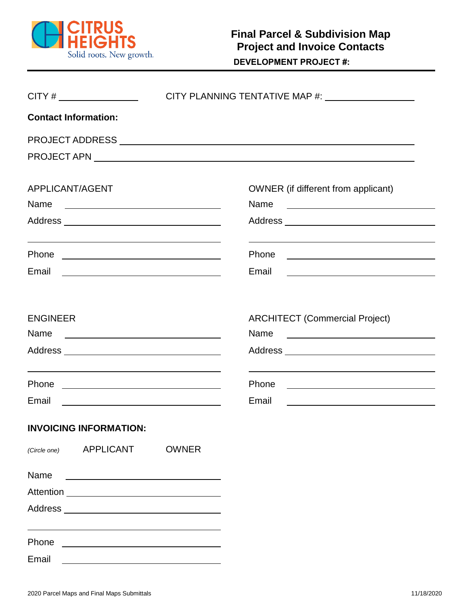

| $CITY # \n\n$                                                                                                                                                                                                                          |                                                                                                                                                                                                                                      |                                                                                                                                                                                                                                                        |  |
|----------------------------------------------------------------------------------------------------------------------------------------------------------------------------------------------------------------------------------------|--------------------------------------------------------------------------------------------------------------------------------------------------------------------------------------------------------------------------------------|--------------------------------------------------------------------------------------------------------------------------------------------------------------------------------------------------------------------------------------------------------|--|
| <b>Contact Information:</b>                                                                                                                                                                                                            |                                                                                                                                                                                                                                      |                                                                                                                                                                                                                                                        |  |
|                                                                                                                                                                                                                                        |                                                                                                                                                                                                                                      |                                                                                                                                                                                                                                                        |  |
|                                                                                                                                                                                                                                        |                                                                                                                                                                                                                                      |                                                                                                                                                                                                                                                        |  |
| APPLICANT/AGENT<br>Name                                                                                                                                                                                                                | <u> 1989 - Johann Harry Harry Harry Harry Harry Harry Harry Harry Harry Harry Harry Harry Harry Harry Harry Harry</u>                                                                                                                | OWNER (if different from applicant)<br>Name<br><u> The Communication of the Communication of the Communication of the Communication of</u>                                                                                                             |  |
| <u> 1989 - Johann Stoff, amerikansk politiker (d. 1989)</u><br>Email                                                                                                                                                                   | <u>and the contract of the contract of the contract of the contract of the contract of the contract of the contract of the contract of the contract of the contract of the contract of the contract of the contract of the contr</u> | Phone<br><u> 1980 - Jan Sterner, mars andrew Maria et al. (</u><br>Email                                                                                                                                                                               |  |
| <b>ENGINEER</b><br>Name                                                                                                                                                                                                                |                                                                                                                                                                                                                                      | <b>ARCHITECT (Commercial Project)</b><br>Name<br><u> 1980 - John Stone, amerikansk politiker (</u>                                                                                                                                                     |  |
| <u> 1989 - Johann Barn, mars ann an t-Èireann an t-Èireann an t-Èireann an t-Èireann an t-Èireann an t-Èireann an </u><br>Email                                                                                                        | <u> 1989 - Johann Barn, fransk politik fotograf (d. 1989)</u>                                                                                                                                                                        | Phone<br><u>and the state of the state of the state of the state of the state of the state of the state of the state of the state of the state of the state of the state of the state of the state of the state of the state of the state</u><br>Email |  |
| <b>INVOICING INFORMATION:</b>                                                                                                                                                                                                          |                                                                                                                                                                                                                                      |                                                                                                                                                                                                                                                        |  |
| APPLICANT<br>(Circle one)                                                                                                                                                                                                              | <b>OWNER</b>                                                                                                                                                                                                                         |                                                                                                                                                                                                                                                        |  |
| Name<br>Address and the contract of the contract of the contract of the contract of the contract of the contract of the contract of the contract of the contract of the contract of the contract of the contract of the contract of th |                                                                                                                                                                                                                                      |                                                                                                                                                                                                                                                        |  |
| Phone<br>Email                                                                                                                                                                                                                         |                                                                                                                                                                                                                                      |                                                                                                                                                                                                                                                        |  |